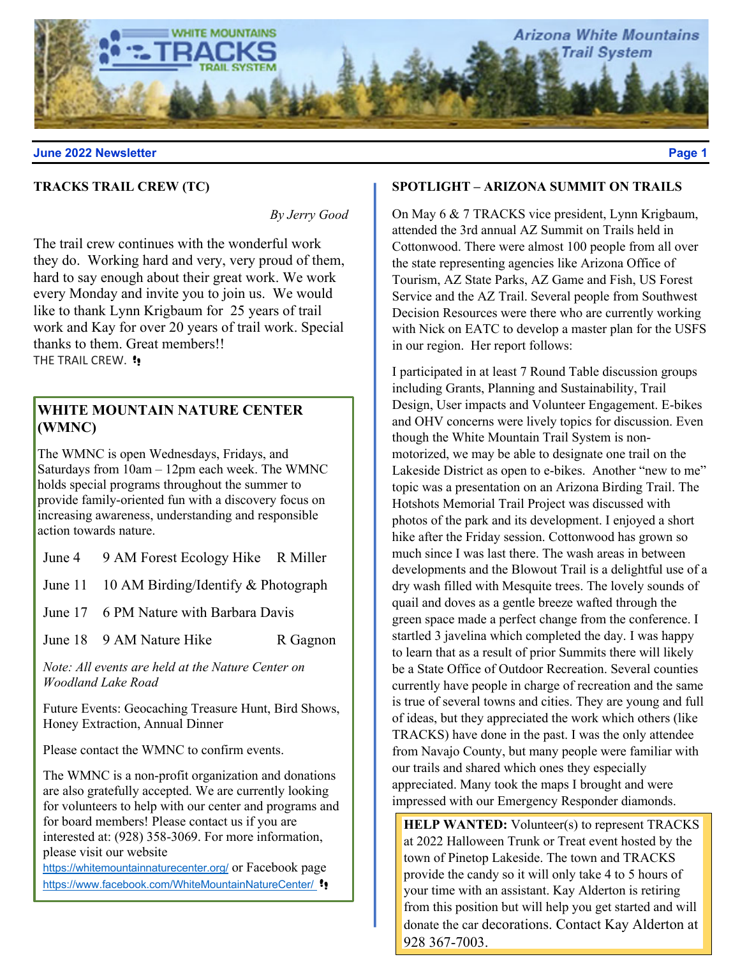

# **TRACKS TRAIL CREW (TC)**

*By Jerry Good*

The trail crew continues with the wonderful work they do. Working hard and very, very proud of them, hard to say enough about their great work. We work every Monday and invite you to join us. We would like to thank Lynn Krigbaum for 25 years of trail work and Kay for over 20 years of trail work. Special thanks to them. Great members!! THE TRAIL CREW. !!

# **WHITE MOUNTAIN NATURE CENTER (WMNC)**

The WMNC is open Wednesdays, Fridays, and Saturdays from 10am – 12pm each week. The WMNC holds special programs throughout the summer to provide family-oriented fun with a discovery focus on increasing awareness, understanding and responsible action towards nature.

June 4 9 AM Forest Ecology Hike R Miller

June 11 10 AM Birding/Identify & Photograph

June 17 6 PM Nature with Barbara Davis

June 18 9 AM Nature Hike R Gagnon

*Note: All events are held at the Nature Center on Woodland Lake Road*

Future Events: Geocaching Treasure Hunt, Bird Shows, Honey Extraction, Annual Dinner

Please contact the WMNC to confirm events.

The WMNC is a non-profit organization and donations are also gratefully accepted. We are currently looking for volunteers to help with our center and programs and for board members! Please contact us if you are interested at: (928) 358-3069. For more information, please visit our website

https://whitemountainnaturecenter.org/ or Facebook page https://www.facebook.com/WhiteMountainNatureCenter/ !!

# **SPOTLIGHT – ARIZONA SUMMIT ON TRAILS**

On May 6 & 7 TRACKS vice president, Lynn Krigbaum, attended the 3rd annual AZ Summit on Trails held in Cottonwood. There were almost 100 people from all over the state representing agencies like Arizona Office of Tourism, AZ State Parks, AZ Game and Fish, US Forest Service and the AZ Trail. Several people from Southwest Decision Resources were there who are currently working with Nick on EATC to develop a master plan for the USFS in our region. Her report follows:

I participated in at least 7 Round Table discussion groups including Grants, Planning and Sustainability, Trail Design, User impacts and Volunteer Engagement. E-bikes and OHV concerns were lively topics for discussion. Even though the White Mountain Trail System is nonmotorized, we may be able to designate one trail on the Lakeside District as open to e-bikes. Another "new to me" topic was a presentation on an Arizona Birding Trail. The Hotshots Memorial Trail Project was discussed with photos of the park and its development. I enjoyed a short hike after the Friday session. Cottonwood has grown so much since I was last there. The wash areas in between developments and the Blowout Trail is a delightful use of a dry wash filled with Mesquite trees. The lovely sounds of quail and doves as a gentle breeze wafted through the green space made a perfect change from the conference. I startled 3 javelina which completed the day. I was happy to learn that as a result of prior Summits there will likely be a State Office of Outdoor Recreation. Several counties currently have people in charge of recreation and the same is true of several towns and cities. They are young and full of ideas, but they appreciated the work which others (like TRACKS) have done in the past. I was the only attendee from Navajo County, but many people were familiar with our trails and shared which ones they especially appreciated. Many took the maps I brought and were impressed with our Emergency Responder diamonds.

**HELP WANTED:** Volunteer(s) to represent TRACKS at 2022 Halloween Trunk or Treat event hosted by the town of Pinetop Lakeside. The town and TRACKS provide the candy so it will only take 4 to 5 hours of your time with an assistant. Kay Alderton is retiring from this position but will help you get started and will donate the car decorations. Contact Kay Alderton at 928 367-7003.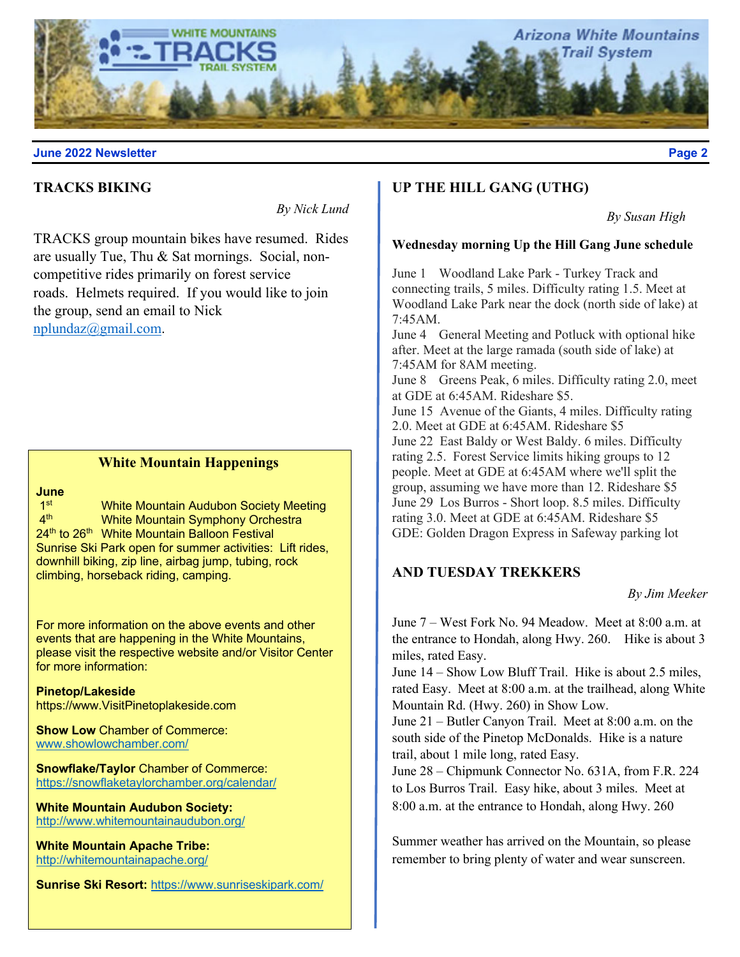

# **TRACKS BIKING**

*By Nick Lund*

TRACKS group mountain bikes have resumed. Rides are usually Tue, Thu & Sat mornings. Social, noncompetitive rides primarily on forest service roads. Helmets required. If you would like to join the group, send an email to Nick nplundaz@gmail.com.

# **White Mountain Happenings**

# **June**

1<sup>st</sup> White Mountain Audubon Society Meeting<br>4<sup>th</sup> White Mountain Symphony Orchestra White Mountain Symphony Orchestra 24<sup>th</sup> to 26<sup>th</sup> White Mountain Balloon Festival Sunrise Ski Park open for summer activities: Lift rides, downhill biking, zip line, airbag jump, tubing, rock climbing, horseback riding, camping.

For more information on the above events and other events that are happening in the White Mountains, please visit the respective website and/or Visitor Center for more information:

**Pinetop/Lakeside** https://www.VisitPinetoplakeside.com

**Show Low Chamber of Commerce:** www.showlowchamber.com/

**Snowflake/Taylor** Chamber of Commerce: https://snowflaketaylorchamber.org/calendar/

**White Mountain Audubon Society:**  http://www.whitemountainaudubon.org/

**White Mountain Apache Tribe:**  http://whitemountainapache.org/

**Sunrise Ski Resort:** https://www.sunriseskipark.com/

# **UP THE HILL GANG (UTHG)**

*By Susan High* 

#### **Wednesday morning Up the Hill Gang June schedule**

June 1 Woodland Lake Park - Turkey Track and connecting trails, 5 miles. Difficulty rating 1.5. Meet at Woodland Lake Park near the dock (north side of lake) at 7:45AM.

June 4 General Meeting and Potluck with optional hike after. Meet at the large ramada (south side of lake) at 7:45AM for 8AM meeting.

June 8 Greens Peak, 6 miles. Difficulty rating 2.0, meet at GDE at 6:45AM. Rideshare \$5.

June 15 Avenue of the Giants, 4 miles. Difficulty rating 2.0. Meet at GDE at 6:45AM. Rideshare \$5 June 22 East Baldy or West Baldy. 6 miles. Difficulty rating 2.5. Forest Service limits hiking groups to 12 people. Meet at GDE at 6:45AM where we'll split the group, assuming we have more than 12. Rideshare \$5 June 29 Los Burros - Short loop. 8.5 miles. Difficulty rating 3.0. Meet at GDE at 6:45AM. Rideshare \$5 GDE: Golden Dragon Express in Safeway parking lot

## **AND TUESDAY TREKKERS**

*By Jim Meeker*

June 7 – West Fork No. 94 Meadow. Meet at 8:00 a.m. at the entrance to Hondah, along Hwy. 260. Hike is about 3 miles, rated Easy.

June 14 – Show Low Bluff Trail. Hike is about 2.5 miles, rated Easy. Meet at 8:00 a.m. at the trailhead, along White Mountain Rd. (Hwy. 260) in Show Low.

June 21 – Butler Canyon Trail. Meet at 8:00 a.m. on the south side of the Pinetop McDonalds. Hike is a nature trail, about 1 mile long, rated Easy.

June 28 – Chipmunk Connector No. 631A, from F.R. 224 to Los Burros Trail. Easy hike, about 3 miles. Meet at 8:00 a.m. at the entrance to Hondah, along Hwy. 260

Summer weather has arrived on the Mountain, so please remember to bring plenty of water and wear sunscreen.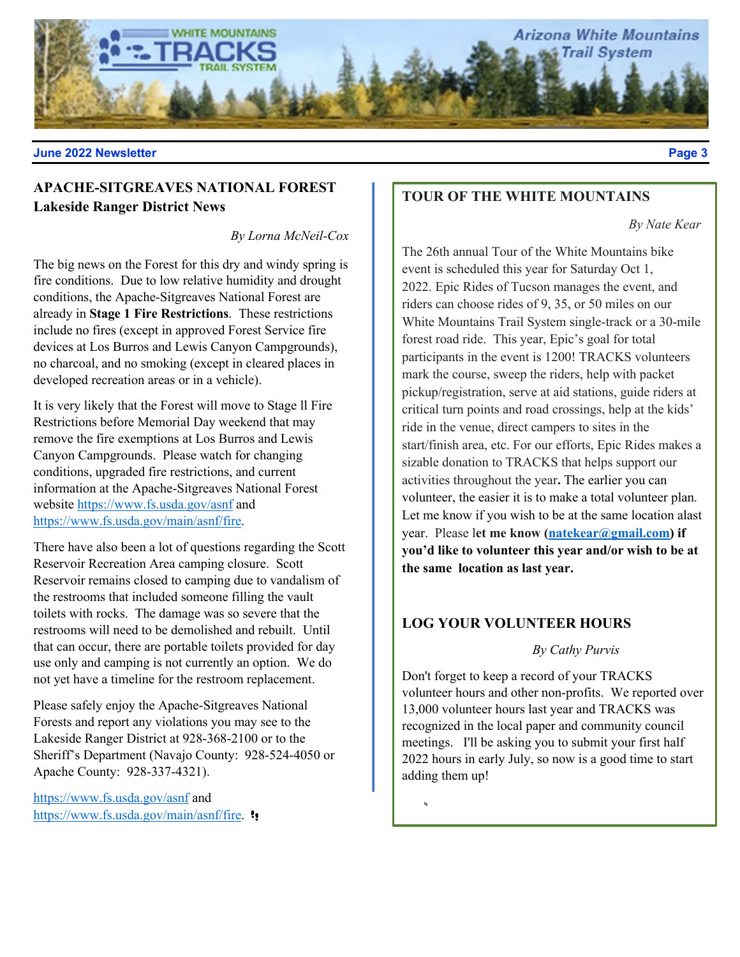

# **APACHE-SITGREAVES NATIONAL FOREST Lakeside Ranger District News**

*By Lorna McNeil-Cox*

The big news on the Forest for this dry and windy spring is fire conditions. Due to low relative humidity and drought conditions, the Apache-Sitgreaves National Forest are already in **Stage 1 Fire Restrictions**. These restrictions include no fires (except in approved Forest Service fire devices at Los Burros and Lewis Canyon Campgrounds), no charcoal, and no smoking (except in cleared places in developed recreation areas or in a vehicle).

It is very likely that the Forest will move to Stage ll Fire Restrictions before Memorial Day weekend that may remove the fire exemptions at Los Burros and Lewis Canyon Campgrounds. Please watch for changing conditions, upgraded fire restrictions, and current information at the Apache-Sitgreaves National Forest website https://www.fs.usda.gov/asnf and https://www.fs.usda.gov/main/asnf/fire.

There have also been a lot of questions regarding the Scott Reservoir Recreation Area camping closure. Scott Reservoir remains closed to camping due to vandalism of the restrooms that included someone filling the vault toilets with rocks. The damage was so severe that the restrooms will need to be demolished and rebuilt. Until that can occur, there are portable toilets provided for day use only and camping is not currently an option. We do not yet have a timeline for the restroom replacement.

Please safely enjoy the Apache-Sitgreaves National Forests and report any violations you may see to the Lakeside Ranger District at 928-368-2100 or to the Sheriff's Department (Navajo County: 928-524-4050 or Apache County: 928-337-4321).

https://www.fs.usda.gov/asnf and https://www.fs.usda.gov/main/asnf/fire. !!

# **TOUR OF THE WHITE MOUNTAINS**

*By Nate Kear*

The 26th annual Tour of the White Mountains bike event is scheduled this year for Saturday Oct 1, 2022. Epic Rides of Tucson manages the event, and riders can choose rides of 9, 35, or 50 miles on our White Mountains Trail System single-track or a 30-mile forest road ride. This year, Epic's goal for total participants in the event is 1200! TRACKS volunteers mark the course, sweep the riders, help with packet pickup/registration, serve at aid stations, guide riders at critical turn points and road crossings, help at the kids' ride in the venue, direct campers to sites in the start/finish area, etc. For our efforts, Epic Rides makes a sizable donation to TRACKS that helps support our activities throughout the year**.** The earlier you can volunteer, the easier it is to make a total volunteer plan. Let me know if you wish to be at the same location alast year. Please l**et me know (natekear@gmail.com) if you'd like to volunteer this year and/or wish to be at the same location as last year.**

# **LOG YOUR VOLUNTEER HOURS**

#### *By Cathy Purvis*

Don't forget to keep a record of your TRACKS volunteer hours and other non-profits. We reported over 13,000 volunteer hours last year and TRACKS was recognized in the local paper and community council meetings. I'll be asking you to submit your first half 2022 hours in early July, so now is a good time to start adding them up!